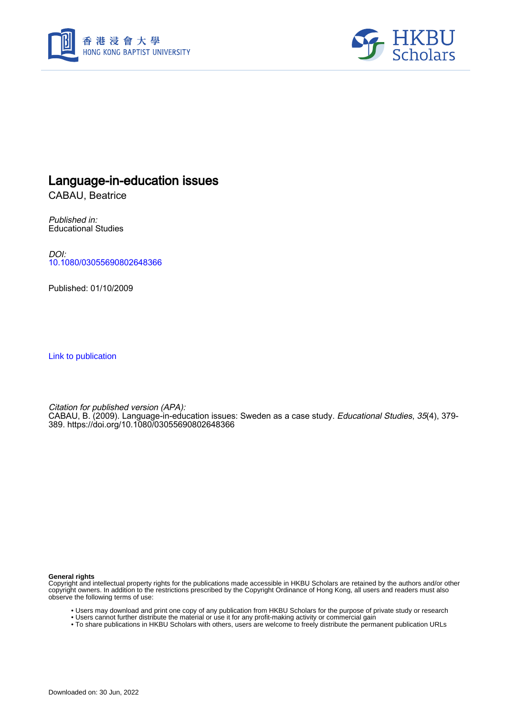



# Language-in-education issues

CABAU, Beatrice

Published in: Educational Studies

DOI: [10.1080/03055690802648366](https://doi.org/10.1080/03055690802648366)

Published: 01/10/2009

[Link to publication](https://scholars.hkbu.edu.hk/en/publications/51ae9ed6-4b6f-498b-9d55-a5894d2566f1)

Citation for published version (APA): CABAU, B. (2009). Language-in-education issues: Sweden as a case study. *Educational Studies, 35*(4), 379-389.<https://doi.org/10.1080/03055690802648366>

**General rights**

Copyright and intellectual property rights for the publications made accessible in HKBU Scholars are retained by the authors and/or other copyright owners. In addition to the restrictions prescribed by the Copyright Ordinance of Hong Kong, all users and readers must also observe the following terms of use:

- Users may download and print one copy of any publication from HKBU Scholars for the purpose of private study or research
- Users cannot further distribute the material or use it for any profit-making activity or commercial gain
- To share publications in HKBU Scholars with others, users are welcome to freely distribute the permanent publication URLs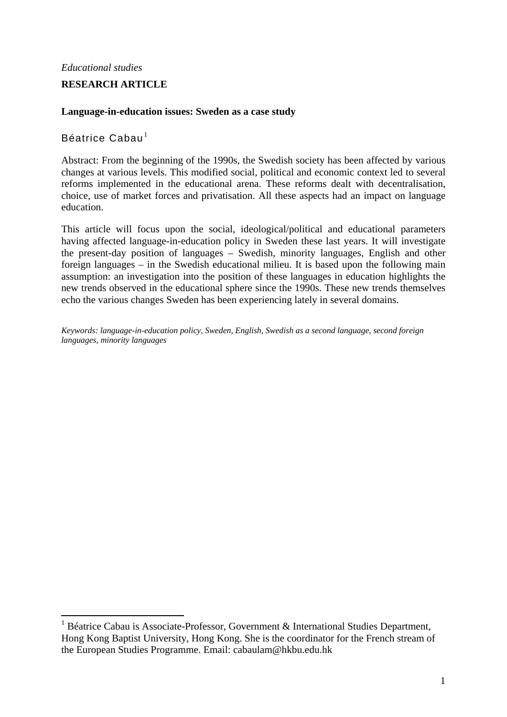*Educational studies* 

## **RESEARCH ARTICLE**

#### **Language-in-education issues: Sweden as a case study**

 $B\acute{e}$ atrice Cabau<sup>[1](#page-1-0)</sup>

1

Abstract: From the beginning of the 1990s, the Swedish society has been affected by various changes at various levels. This modified social, political and economic context led to several reforms implemented in the educational arena. These reforms dealt with decentralisation, choice, use of market forces and privatisation. All these aspects had an impact on language education.

This article will focus upon the social, ideological/political and educational parameters having affected language-in-education policy in Sweden these last years. It will investigate the present-day position of languages – Swedish, minority languages, English and other foreign languages – in the Swedish educational milieu. It is based upon the following main assumption: an investigation into the position of these languages in education highlights the new trends observed in the educational sphere since the 1990s. These new trends themselves echo the various changes Sweden has been experiencing lately in several domains.

*Keywords: language-in-education policy, Sweden, English, Swedish as a second language, second foreign languages, minority languages* 

<span id="page-1-0"></span><sup>&</sup>lt;sup>1</sup> Béatrice Cabau is Associate-Professor, Government & International Studies Department, Hong Kong Baptist University, Hong Kong. She is the coordinator for the French stream of the European Studies Programme. Email: cabaulam@hkbu.edu.hk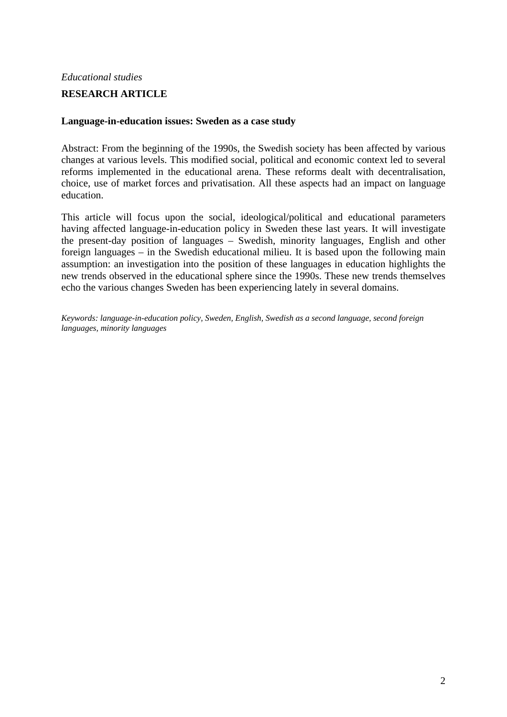## *Educational studies*

# **RESEARCH ARTICLE**

## **Language-in-education issues: Sweden as a case study**

Abstract: From the beginning of the 1990s, the Swedish society has been affected by various changes at various levels. This modified social, political and economic context led to several reforms implemented in the educational arena. These reforms dealt with decentralisation, choice, use of market forces and privatisation. All these aspects had an impact on language education.

This article will focus upon the social, ideological/political and educational parameters having affected language-in-education policy in Sweden these last years. It will investigate the present-day position of languages – Swedish, minority languages, English and other foreign languages – in the Swedish educational milieu. It is based upon the following main assumption: an investigation into the position of these languages in education highlights the new trends observed in the educational sphere since the 1990s. These new trends themselves echo the various changes Sweden has been experiencing lately in several domains.

*Keywords: language-in-education policy, Sweden, English, Swedish as a second language, second foreign languages, minority languages*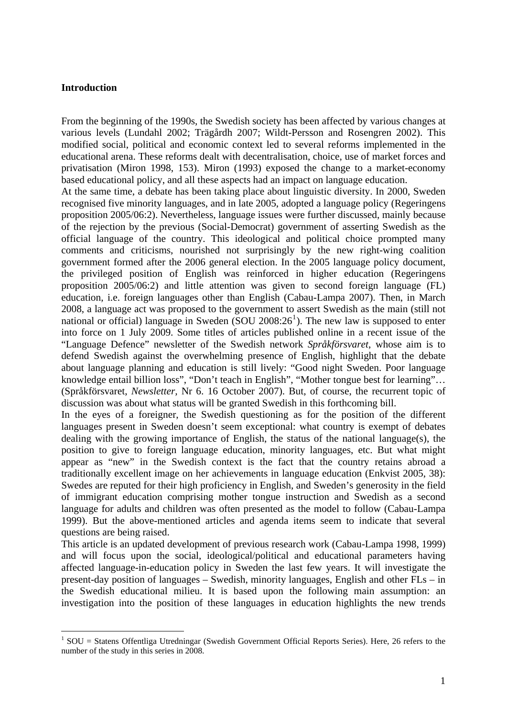### **Introduction**

1

From the beginning of the 1990s, the Swedish society has been affected by various changes at various levels (Lundahl 2002; Trägårdh 2007; Wildt-Persson and Rosengren 2002). This modified social, political and economic context led to several reforms implemented in the educational arena. These reforms dealt with decentralisation, choice, use of market forces and privatisation (Miron 1998, 153). Miron (1993) exposed the change to a market-economy based educational policy, and all these aspects had an impact on language education.

At the same time, a debate has been taking place about linguistic diversity. In 2000, Sweden recognised five minority languages, and in late 2005, adopted a language policy (Regeringens proposition 2005/06:2). Nevertheless, language issues were further discussed, mainly because of the rejection by the previous (Social-Democrat) government of asserting Swedish as the official language of the country. This ideological and political choice prompted many comments and criticisms, nourished not surprisingly by the new right-wing coalition government formed after the 2006 general election. In the 2005 language policy document, the privileged position of English was reinforced in higher education (Regeringens proposition 2005/06:2) and little attention was given to second foreign language (FL) education, i.e. foreign languages other than English (Cabau-Lampa 2007). Then, in March 2008, a language act was proposed to the government to assert Swedish as the main (still not national or official) language in Sweden  $(SOU 2008:26<sup>1</sup>)$  $(SOU 2008:26<sup>1</sup>)$  $(SOU 2008:26<sup>1</sup>)$ . The new law is supposed to enter into force on 1 July 2009. Some titles of articles published online in a recent issue of the "Language Defence" newsletter of the Swedish network *Språkförsvaret*, whose aim is to defend Swedish against the overwhelming presence of English, highlight that the debate about language planning and education is still lively: "Good night Sweden. Poor language knowledge entail billion loss", "Don't teach in English", "Mother tongue best for learning"… (Språkförsvaret, *Newsletter,* Nr 6. 16 October 2007). But, of course, the recurrent topic of discussion was about what status will be granted Swedish in this forthcoming bill.

In the eyes of a foreigner, the Swedish questioning as for the position of the different languages present in Sweden doesn't seem exceptional: what country is exempt of debates dealing with the growing importance of English, the status of the national language(s), the position to give to foreign language education, minority languages, etc. But what might appear as "new" in the Swedish context is the fact that the country retains abroad a traditionally excellent image on her achievements in language education (Enkvist 2005, 38): Swedes are reputed for their high proficiency in English, and Sweden's generosity in the field of immigrant education comprising mother tongue instruction and Swedish as a second language for adults and children was often presented as the model to follow (Cabau-Lampa 1999). But the above-mentioned articles and agenda items seem to indicate that several questions are being raised.

This article is an updated development of previous research work (Cabau-Lampa 1998, 1999) and will focus upon the social, ideological/political and educational parameters having affected language-in-education policy in Sweden the last few years. It will investigate the present-day position of languages – Swedish, minority languages, English and other FLs – in the Swedish educational milieu. It is based upon the following main assumption: an investigation into the position of these languages in education highlights the new trends

<span id="page-3-0"></span> $1$  SOU = Statens Offentliga Utredningar (Swedish Government Official Reports Series). Here, 26 refers to the number of the study in this series in 2008.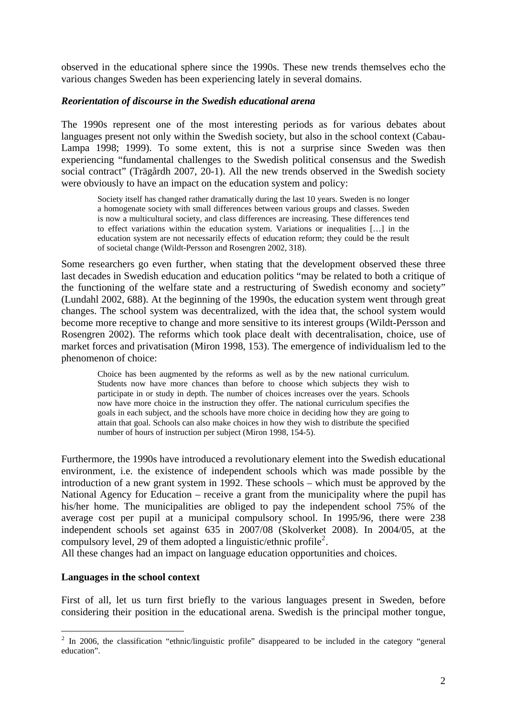observed in the educational sphere since the 1990s. These new trends themselves echo the various changes Sweden has been experiencing lately in several domains.

### *Reorientation of discourse in the Swedish educational arena*

The 1990s represent one of the most interesting periods as for various debates about languages present not only within the Swedish society, but also in the school context (Cabau-Lampa 1998; 1999). To some extent, this is not a surprise since Sweden was then experiencing "fundamental challenges to the Swedish political consensus and the Swedish social contract" (Trägårdh 2007, 20-1). All the new trends observed in the Swedish society were obviously to have an impact on the education system and policy:

Society itself has changed rather dramatically during the last 10 years. Sweden is no longer a homogenate society with small differences between various groups and classes. Sweden is now a multicultural society, and class differences are increasing. These differences tend to effect variations within the education system. Variations or inequalities […] in the education system are not necessarily effects of education reform; they could be the result of societal change (Wildt-Persson and Rosengren 2002, 318).

Some researchers go even further, when stating that the development observed these three last decades in Swedish education and education politics "may be related to both a critique of the functioning of the welfare state and a restructuring of Swedish economy and society" (Lundahl 2002, 688). At the beginning of the 1990s, the education system went through great changes. The school system was decentralized, with the idea that, the school system would become more receptive to change and more sensitive to its interest groups (Wildt-Persson and Rosengren 2002). The reforms which took place dealt with decentralisation, choice, use of market forces and privatisation (Miron 1998, 153). The emergence of individualism led to the phenomenon of choice:

Choice has been augmented by the reforms as well as by the new national curriculum. Students now have more chances than before to choose which subjects they wish to participate in or study in depth. The number of choices increases over the years. Schools now have more choice in the instruction they offer. The national curriculum specifies the goals in each subject, and the schools have more choice in deciding how they are going to attain that goal. Schools can also make choices in how they wish to distribute the specified number of hours of instruction per subject (Miron 1998, 154-5).

Furthermore, the 1990s have introduced a revolutionary element into the Swedish educational environment, i.e. the existence of independent schools which was made possible by the introduction of a new grant system in 1992. These schools – which must be approved by the National Agency for Education – receive a grant from the municipality where the pupil has his/her home. The municipalities are obliged to pay the independent school 75% of the average cost per pupil at a municipal compulsory school. In 1995/96, there were 238 independent schools set against 635 in 2007/08 (Skolverket 2008). In 2004/05, at the compulsory level, [2](#page-4-0)9 of them adopted a linguistic/ethnic profile<sup>2</sup>.

All these changes had an impact on language education opportunities and choices.

## **Languages in the school context**

1

First of all, let us turn first briefly to the various languages present in Sweden, before considering their position in the educational arena. Swedish is the principal mother tongue,

<span id="page-4-0"></span> $2$  In 2006, the classification "ethnic/linguistic profile" disappeared to be included in the category "general education".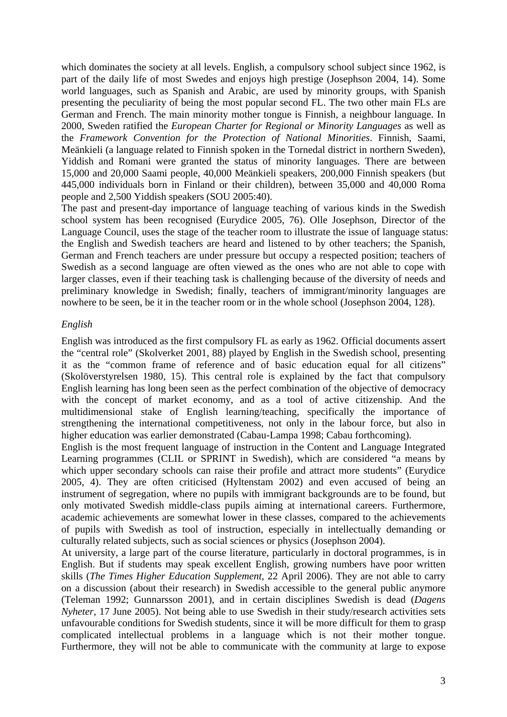which dominates the society at all levels. English, a compulsory school subject since 1962, is part of the daily life of most Swedes and enjoys high prestige (Josephson 2004, 14). Some world languages, such as Spanish and Arabic, are used by minority groups, with Spanish presenting the peculiarity of being the most popular second FL. The two other main FLs are German and French. The main minority mother tongue is Finnish, a neighbour language. In 2000, Sweden ratified the *European Charter for Regional or Minority Languages* as well as the *Framework Convention for the Protection of National Minorities*. Finnish, Saami, Meänkieli (a language related to Finnish spoken in the Tornedal district in northern Sweden), Yiddish and Romani were granted the status of minority languages. There are between 15,000 and 20,000 Saami people, 40,000 Meänkieli speakers, 200,000 Finnish speakers (but 445,000 individuals born in Finland or their children), between 35,000 and 40,000 Roma people and 2,500 Yiddish speakers (SOU 2005:40).

The past and present-day importance of language teaching of various kinds in the Swedish school system has been recognised (Eurydice 2005, 76). Olle Josephson, Director of the Language Council, uses the stage of the teacher room to illustrate the issue of language status: the English and Swedish teachers are heard and listened to by other teachers; the Spanish, German and French teachers are under pressure but occupy a respected position; teachers of Swedish as a second language are often viewed as the ones who are not able to cope with larger classes, even if their teaching task is challenging because of the diversity of needs and preliminary knowledge in Swedish; finally, teachers of immigrant/minority languages are nowhere to be seen, be it in the teacher room or in the whole school (Josephson 2004, 128).

## *English*

English was introduced as the first compulsory FL as early as 1962. Official documents assert the "central role" (Skolverket 2001, 88) played by English in the Swedish school, presenting it as the "common frame of reference and of basic education equal for all citizens" (Skolöverstyrelsen 1980, 15). This central role is explained by the fact that compulsory English learning has long been seen as the perfect combination of the objective of democracy with the concept of market economy, and as a tool of active citizenship. And the multidimensional stake of English learning/teaching, specifically the importance of strengthening the international competitiveness, not only in the labour force, but also in higher education was earlier demonstrated (Cabau-Lampa 1998; Cabau forthcoming).

English is the most frequent language of instruction in the Content and Language Integrated Learning programmes (CLIL or SPRINT in Swedish), which are considered "a means by which upper secondary schools can raise their profile and attract more students" (Eurydice 2005, 4). They are often criticised (Hyltenstam 2002) and even accused of being an instrument of segregation, where no pupils with immigrant backgrounds are to be found, but only motivated Swedish middle-class pupils aiming at international careers. Furthermore, academic achievements are somewhat lower in these classes, compared to the achievements of pupils with Swedish as tool of instruction, especially in intellectually demanding or culturally related subjects, such as social sciences or physics (Josephson 2004).

At university, a large part of the course literature, particularly in doctoral programmes, is in English. But if students may speak excellent English, growing numbers have poor written skills (*The Times Higher Education Supplement*, 22 April 2006). They are not able to carry on a discussion (about their research) in Swedish accessible to the general public anymore (Teleman 1992; Gunnarsson 2001), and in certain disciplines Swedish is dead (*Dagens Nyheter*, 17 June 2005). Not being able to use Swedish in their study/research activities sets unfavourable conditions for Swedish students, since it will be more difficult for them to grasp complicated intellectual problems in a language which is not their mother tongue. Furthermore, they will not be able to communicate with the community at large to expose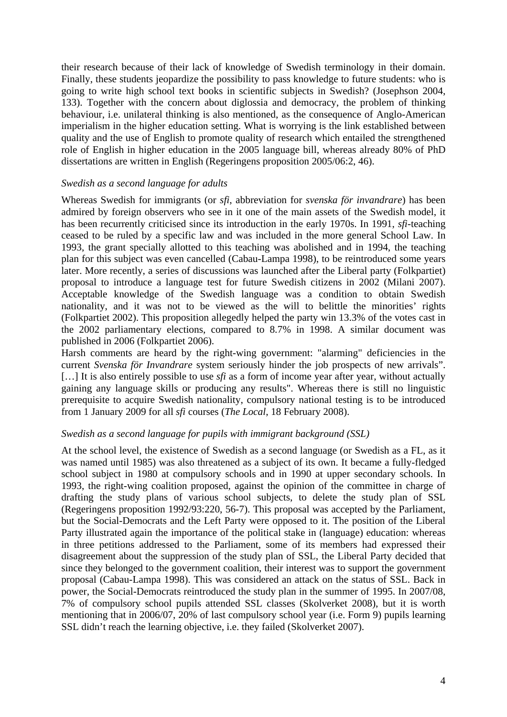their research because of their lack of knowledge of Swedish terminology in their domain. Finally, these students jeopardize the possibility to pass knowledge to future students: who is going to write high school text books in scientific subjects in Swedish? (Josephson 2004, 133). Together with the concern about diglossia and democracy, the problem of thinking behaviour, i.e. unilateral thinking is also mentioned, as the consequence of Anglo-American imperialism in the higher education setting. What is worrying is the link established between quality and the use of English to promote quality of research which entailed the strengthened role of English in higher education in the 2005 language bill, whereas already 80% of PhD dissertations are written in English (Regeringens proposition 2005/06:2, 46).

## *Swedish as a second language for adults*

Whereas Swedish for immigrants (or *sfi*, abbreviation for *svenska för invandrare*) has been admired by foreign observers who see in it one of the main assets of the Swedish model, it has been recurrently criticised since its introduction in the early 1970s. In 1991, *sfi*-teaching ceased to be ruled by a specific law and was included in the more general School Law. In 1993, the grant specially allotted to this teaching was abolished and in 1994, the teaching plan for this subject was even cancelled (Cabau-Lampa 1998), to be reintroduced some years later. More recently, a series of discussions was launched after the Liberal party (Folkpartiet) proposal to introduce a language test for future Swedish citizens in 2002 (Milani 2007). Acceptable knowledge of the Swedish language was a condition to obtain Swedish nationality, and it was not to be viewed as the will to belittle the minorities' rights (Folkpartiet 2002). This proposition allegedly helped the party win 13.3% of the votes cast in the 2002 parliamentary elections, compared to 8.7% in 1998. A similar document was published in 2006 (Folkpartiet 2006).

Harsh comments are heard by the right-wing government: "alarming" deficiencies in the current *Svenska för Invandrare* system seriously hinder the job prospects of new arrivals". [...] It is also entirely possible to use *sfi* as a form of income year after year, without actually gaining any language skills or producing any results". Whereas there is still no linguistic prerequisite to acquire Swedish nationality, compulsory national testing is to be introduced from 1 January 2009 for all *sfi* courses (*The Local*, 18 February 2008).

## *Swedish as a second language for pupils with immigrant background (SSL)*

At the school level, the existence of Swedish as a second language (or Swedish as a FL, as it was named until 1985) was also threatened as a subject of its own. It became a fully-fledged school subject in 1980 at compulsory schools and in 1990 at upper secondary schools. In 1993, the right-wing coalition proposed, against the opinion of the committee in charge of drafting the study plans of various school subjects, to delete the study plan of SSL (Regeringens proposition 1992/93:220, 56-7). This proposal was accepted by the Parliament, but the Social-Democrats and the Left Party were opposed to it. The position of the Liberal Party illustrated again the importance of the political stake in (language) education: whereas in three petitions addressed to the Parliament, some of its members had expressed their disagreement about the suppression of the study plan of SSL, the Liberal Party decided that since they belonged to the government coalition, their interest was to support the government proposal (Cabau-Lampa 1998). This was considered an attack on the status of SSL. Back in power, the Social-Democrats reintroduced the study plan in the summer of 1995. In 2007/08, 7% of compulsory school pupils attended SSL classes (Skolverket 2008), but it is worth mentioning that in 2006/07, 20% of last compulsory school year (i.e. Form 9) pupils learning SSL didn't reach the learning objective, i.e. they failed (Skolverket 2007).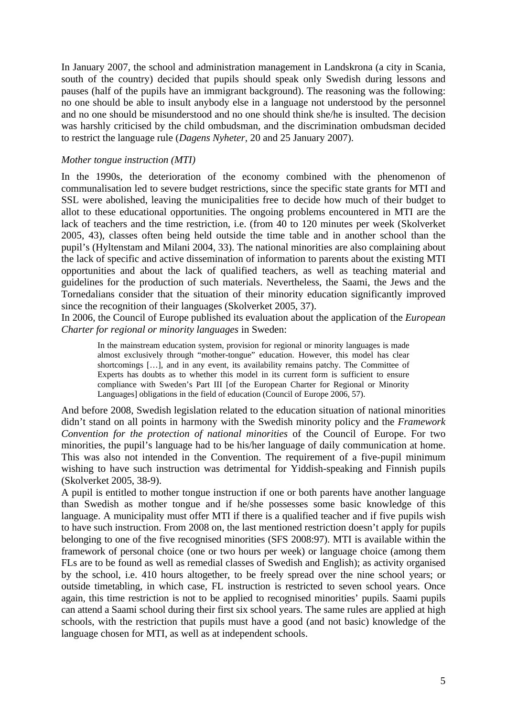In January 2007, the school and administration management in Landskrona (a city in Scania, south of the country) decided that pupils should speak only Swedish during lessons and pauses (half of the pupils have an immigrant background). The reasoning was the following: no one should be able to insult anybody else in a language not understood by the personnel and no one should be misunderstood and no one should think she/he is insulted. The decision was harshly criticised by the child ombudsman, and the discrimination ombudsman decided to restrict the language rule (*Dagens Nyheter,* 20 and 25 January 2007).

### *Mother tongue instruction (MTI)*

In the 1990s, the deterioration of the economy combined with the phenomenon of communalisation led to severe budget restrictions, since the specific state grants for MTI and SSL were abolished, leaving the municipalities free to decide how much of their budget to allot to these educational opportunities. The ongoing problems encountered in MTI are the lack of teachers and the time restriction, i.e. (from 40 to 120 minutes per week (Skolverket 2005, 43), classes often being held outside the time table and in another school than the pupil's (Hyltenstam and Milani 2004, 33). The national minorities are also complaining about the lack of specific and active dissemination of information to parents about the existing MTI opportunities and about the lack of qualified teachers, as well as teaching material and guidelines for the production of such materials. Nevertheless, the Saami, the Jews and the Tornedalians consider that the situation of their minority education significantly improved since the recognition of their languages (Skolverket 2005, 37).

In 2006, the Council of Europe published its evaluation about the application of the *European Charter for regional or minority languages* in Sweden:

In the mainstream education system, provision for regional or minority languages is made almost exclusively through "mother-tongue" education. However, this model has clear shortcomings […], and in any event, its availability remains patchy. The Committee of Experts has doubts as to whether this model in its current form is sufficient to ensure compliance with Sweden's Part III [of the European Charter for Regional or Minority Languages] obligations in the field of education (Council of Europe 2006, 57).

And before 2008, Swedish legislation related to the education situation of national minorities didn't stand on all points in harmony with the Swedish minority policy and the *Framework Convention for the protection of national minorities* of the Council of Europe. For two minorities, the pupil's language had to be his/her language of daily communication at home. This was also not intended in the Convention. The requirement of a five-pupil minimum wishing to have such instruction was detrimental for Yiddish-speaking and Finnish pupils (Skolverket 2005, 38-9).

A pupil is entitled to mother tongue instruction if one or both parents have another language than Swedish as mother tongue and if he/she possesses some basic knowledge of this language. A municipality must offer MTI if there is a qualified teacher and if five pupils wish to have such instruction. From 2008 on, the last mentioned restriction doesn't apply for pupils belonging to one of the five recognised minorities (SFS 2008:97). MTI is available within the framework of personal choice (one or two hours per week) or language choice (among them FLs are to be found as well as remedial classes of Swedish and English); as activity organised by the school, i.e. 410 hours altogether, to be freely spread over the nine school years; or outside timetabling, in which case, FL instruction is restricted to seven school years. Once again, this time restriction is not to be applied to recognised minorities' pupils. Saami pupils can attend a Saami school during their first six school years. The same rules are applied at high schools, with the restriction that pupils must have a good (and not basic) knowledge of the language chosen for MTI, as well as at independent schools.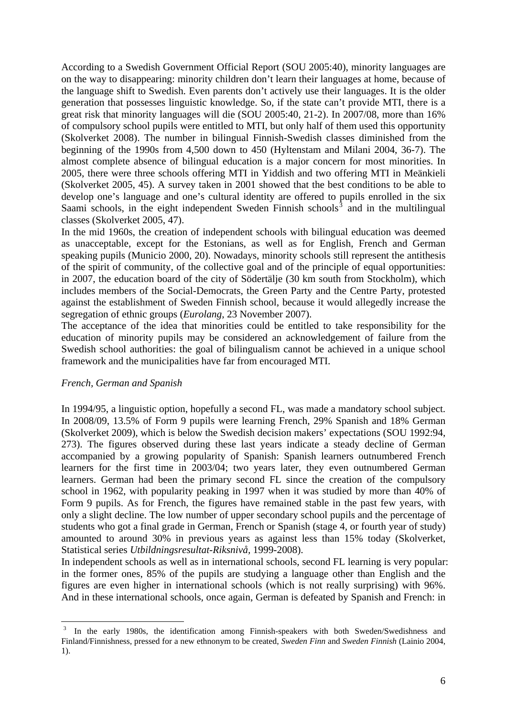According to a Swedish Government Official Report (SOU 2005:40), minority languages are on the way to disappearing: minority children don't learn their languages at home, because of the language shift to Swedish. Even parents don't actively use their languages. It is the older generation that possesses linguistic knowledge. So, if the state can't provide MTI, there is a great risk that minority languages will die (SOU 2005:40, 21-2). In 2007/08, more than 16% of compulsory school pupils were entitled to MTI, but only half of them used this opportunity (Skolverket 2008). The number in bilingual Finnish-Swedish classes diminished from the beginning of the 1990s from 4,500 down to 450 (Hyltenstam and Milani 2004, 36-7). The almost complete absence of bilingual education is a major concern for most minorities. In 2005, there were three schools offering MTI in Yiddish and two offering MTI in Meänkieli (Skolverket 2005, 45). A survey taken in 2001 showed that the best conditions to be able to develop one's language and one's cultural identity are offered to pupils enrolled in the six Saami schools, in the eight independent Sweden Finnish schools $3$  and in the multilingual classes (Skolverket 2005, 47).

In the mid 1960s, the creation of independent schools with bilingual education was deemed as unacceptable, except for the Estonians, as well as for English, French and German speaking pupils (Municio 2000, 20). Nowadays, minority schools still represent the antithesis of the spirit of community, of the collective goal and of the principle of equal opportunities: in 2007, the education board of the city of Södertälje (30 km south from Stockholm), which includes members of the Social-Democrats, the Green Party and the Centre Party, protested against the establishment of Sweden Finnish school, because it would allegedly increase the segregation of ethnic groups (*Eurolang*, 23 November 2007).

The acceptance of the idea that minorities could be entitled to take responsibility for the education of minority pupils may be considered an acknowledgement of failure from the Swedish school authorities: the goal of bilingualism cannot be achieved in a unique school framework and the municipalities have far from encouraged MTI.

## *French, German and Spanish*

1

In 1994/95, a linguistic option, hopefully a second FL, was made a mandatory school subject. In 2008/09, 13.5% of Form 9 pupils were learning French, 29% Spanish and 18% German (Skolverket 2009), which is below the Swedish decision makers' expectations (SOU 1992:94, 273). The figures observed during these last years indicate a steady decline of German accompanied by a growing popularity of Spanish: Spanish learners outnumbered French learners for the first time in 2003/04; two years later, they even outnumbered German learners. German had been the primary second FL since the creation of the compulsory school in 1962, with popularity peaking in 1997 when it was studied by more than 40% of Form 9 pupils. As for French, the figures have remained stable in the past few years, with only a slight decline. The low number of upper secondary school pupils and the percentage of students who got a final grade in German, French or Spanish (stage 4, or fourth year of study) amounted to around 30% in previous years as against less than 15% today (Skolverket, Statistical series *Utbildningsresultat-Riksnivå,* 1999-2008).

In independent schools as well as in international schools, second FL learning is very popular: in the former ones, 85% of the pupils are studying a language other than English and the figures are even higher in international schools (which is not really surprising) with 96%. And in these international schools, once again, German is defeated by Spanish and French: in

<span id="page-8-0"></span><sup>&</sup>lt;sup>3</sup> In the early 1980s, the identification among Finnish-speakers with both Sweden/Swedishness and Finland/Finnishness, pressed for a new ethnonym to be created, *Sweden Finn* and *Sweden Finnish* (Lainio 2004, 1).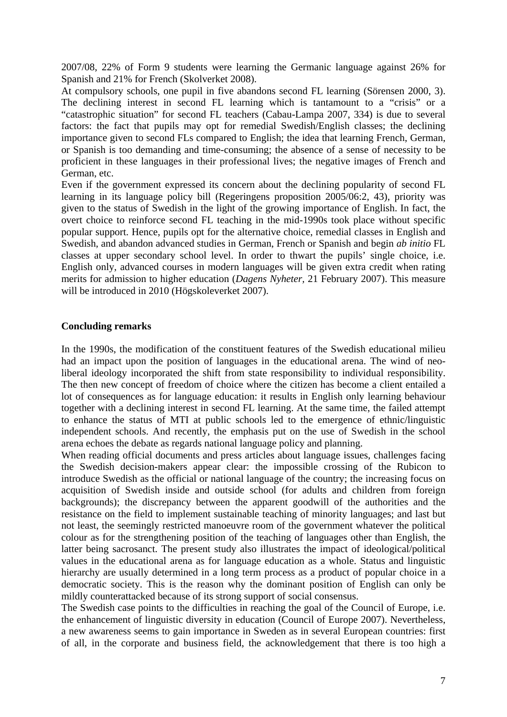2007/08, 22% of Form 9 students were learning the Germanic language against 26% for Spanish and 21% for French (Skolverket 2008).

At compulsory schools, one pupil in five abandons second FL learning (Sörensen 2000, 3). The declining interest in second FL learning which is tantamount to a "crisis" or a "catastrophic situation" for second FL teachers (Cabau-Lampa 2007, 334) is due to several factors: the fact that pupils may opt for remedial Swedish/English classes; the declining importance given to second FLs compared to English; the idea that learning French, German, or Spanish is too demanding and time-consuming; the absence of a sense of necessity to be proficient in these languages in their professional lives; the negative images of French and German, etc.

Even if the government expressed its concern about the declining popularity of second FL learning in its language policy bill (Regeringens proposition 2005/06:2, 43), priority was given to the status of Swedish in the light of the growing importance of English. In fact, the overt choice to reinforce second FL teaching in the mid-1990s took place without specific popular support. Hence, pupils opt for the alternative choice, remedial classes in English and Swedish, and abandon advanced studies in German, French or Spanish and begin *ab initio* FL classes at upper secondary school level. In order to thwart the pupils' single choice, i.e. English only, advanced courses in modern languages will be given extra credit when rating merits for admission to higher education (*Dagens Nyheter,* 21 February 2007). This measure will be introduced in 2010 (Högskoleverket 2007).

#### **Concluding remarks**

In the 1990s, the modification of the constituent features of the Swedish educational milieu had an impact upon the position of languages in the educational arena. The wind of neoliberal ideology incorporated the shift from state responsibility to individual responsibility. The then new concept of freedom of choice where the citizen has become a client entailed a lot of consequences as for language education: it results in English only learning behaviour together with a declining interest in second FL learning. At the same time, the failed attempt to enhance the status of MTI at public schools led to the emergence of ethnic/linguistic independent schools. And recently, the emphasis put on the use of Swedish in the school arena echoes the debate as regards national language policy and planning.

When reading official documents and press articles about language issues, challenges facing the Swedish decision-makers appear clear: the impossible crossing of the Rubicon to introduce Swedish as the official or national language of the country; the increasing focus on acquisition of Swedish inside and outside school (for adults and children from foreign backgrounds); the discrepancy between the apparent goodwill of the authorities and the resistance on the field to implement sustainable teaching of minority languages; and last but not least, the seemingly restricted manoeuvre room of the government whatever the political colour as for the strengthening position of the teaching of languages other than English, the latter being sacrosanct. The present study also illustrates the impact of ideological/political values in the educational arena as for language education as a whole. Status and linguistic hierarchy are usually determined in a long term process as a product of popular choice in a democratic society. This is the reason why the dominant position of English can only be mildly counterattacked because of its strong support of social consensus.

The Swedish case points to the difficulties in reaching the goal of the Council of Europe, i.e. the enhancement of linguistic diversity in education (Council of Europe 2007). Nevertheless, a new awareness seems to gain importance in Sweden as in several European countries: first of all, in the corporate and business field, the acknowledgement that there is too high a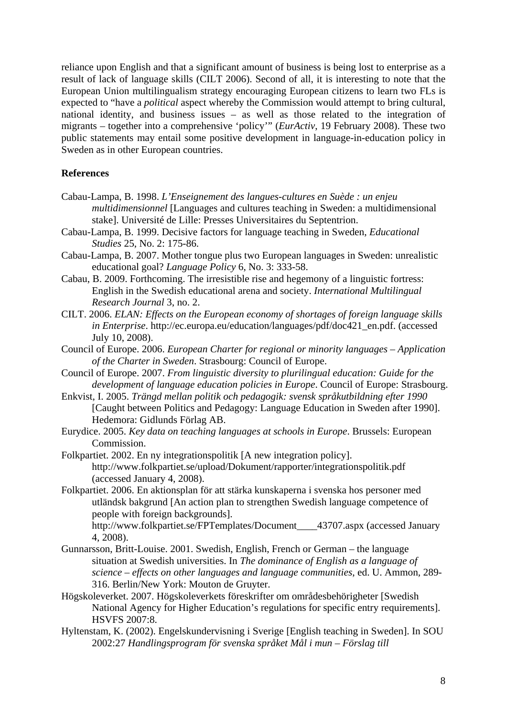reliance upon English and that a significant amount of business is being lost to enterprise as a result of lack of language skills (CILT 2006). Second of all, it is interesting to note that the European Union multilingualism strategy encouraging European citizens to learn two FLs is expected to "have a *political* aspect whereby the Commission would attempt to bring cultural, national identity, and business issues – as well as those related to the integration of migrants – together into a comprehensive 'policy'" (*EurActiv*, 19 February 2008). These two public statements may entail some positive development in language-in-education policy in Sweden as in other European countries.

## **References**

- Cabau-Lampa, B. 1998. *L'Enseignement des langues-cultures en Suède : un enjeu multidimensionnel* [Languages and cultures teaching in Sweden: a multidimensional stake]. Université de Lille: Presses Universitaires du Septentrion.
- Cabau-Lampa, B. 1999. Decisive factors for language teaching in Sweden, *Educational Studies* 25, No. 2: 175-86.
- Cabau-Lampa, B. 2007. Mother tongue plus two European languages in Sweden: unrealistic educational goal? *Language Policy* 6, No. 3: 333-58.
- Cabau, B. 2009. Forthcoming. The irresistible rise and hegemony of a linguistic fortress: English in the Swedish educational arena and society. *International Multilingual Research Journal* 3, no. 2.
- CILT. 2006. *ELAN: Effects on the European economy of shortages of foreign language skills in Enterprise*. http://ec.europa.eu/education/languages/pdf/doc421\_en.pdf. (accessed July 10, 2008).
- Council of Europe. 2006. *European Charter for regional or minority languages Application of the Charter in Sweden*. Strasbourg: Council of Europe.
- Council of Europe. 2007. *From linguistic diversity to plurilingual education: Guide for the development of language education policies in Europe*. Council of Europe: Strasbourg.
- Enkvist, I. 2005. *Trängd mellan politik och pedagogik: svensk språkutbildning efter 1990*  [Caught between Politics and Pedagogy: Language Education in Sweden after 1990]. Hedemora: Gidlunds Förlag AB.
- Eurydice. 2005. *Key data on teaching languages at schools in Europe*. Brussels: European Commission.
- Folkpartiet. 2002. En ny integrationspolitik [A new integration policy]. http://www.folkpartiet.se/upload/Dokument/rapporter/integrationspolitik.pdf (accessed January 4, 2008).
- Folkpartiet. 2006. En aktionsplan för att stärka kunskaperna i svenska hos personer med utländsk bakgrund [An action plan to strengthen Swedish language competence of people with foreign backgrounds].

http://www.folkpartiet.se/FPTemplates/Document\_\_\_\_43707.aspx (accessed January 4, 2008).

- Gunnarsson, Britt-Louise. 2001. Swedish, English, French or German the language situation at Swedish universities. In *The dominance of English as a language of science – effects on other languages and language communities*, ed. U. Ammon*,* 289- 316. Berlin/New York: Mouton de Gruyter.
- Högskoleverket. 2007. Högskoleverkets föreskrifter om områdesbehörigheter [Swedish National Agency for Higher Education's regulations for specific entry requirements]. HSVFS 2007:8.
- Hyltenstam, K. (2002). Engelskundervisning i Sverige [English teaching in Sweden]. In SOU 2002:27 *Handlingsprogram för svenska språket Mål i mun – Förslag till*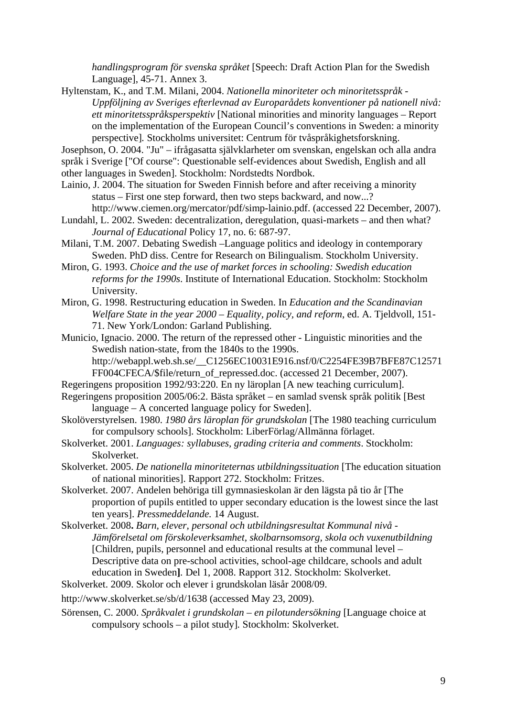*handlingsprogram för svenska språket* [Speech: Draft Action Plan for the Swedish Language], 45-71. Annex 3.

Hyltenstam, K., and T.M. Milani, 2004. *Nationella minoriteter och minoritetsspråk - Uppföljning av Sveriges efterlevnad av Europarådets konventioner på nationell nivå: ett minoritetsspråksperspektiv* [National minorities and minority languages – Report on the implementation of the European Council's conventions in Sweden: a minority perspective]*.* Stockholms universitet: Centrum för tvåspråkighetsforskning.

Josephson, O. 2004. "Ju" – ifrågasatta självklarheter om svenskan, engelskan och alla andra språk i Sverige ["Of course": Questionable self-evidences about Swedish, English and all other languages in Sweden]. Stockholm: Nordstedts Nordbok.

- Lainio, J. 2004. The situation for Sweden Finnish before and after receiving a minority status – First one step forward, then two steps backward, and now...?
- http://www.ciemen.org/mercator/pdf/simp-lainio.pdf. (accessed 22 December, 2007). Lundahl, L. 2002. Sweden: decentralization, deregulation, quasi-markets – and then what? *Journal of Educational* Policy 17, no. 6: 687-97.
- Milani, T.M. 2007. Debating Swedish –Language politics and ideology in contemporary Sweden. PhD diss. Centre for Research on Bilingualism. Stockholm University.
- Miron, G. 1993. *Choice and the use of market forces in schooling: Swedish education reforms for the 1990s*. Institute of International Education. Stockholm: Stockholm University.
- Miron, G. 1998. Restructuring education in Sweden. In *Education and the Scandinavian Welfare State in the year 2000 – Equality, policy, and reform*, ed. A. Tjeldvoll*,* 151- 71. New York/London: Garland Publishing.
- Municio, Ignacio. 2000. The return of the repressed other Linguistic minorities and the Swedish nation-state, from the 1840s to the 1990s. http://webappl.web.sh.se/\_\_C1256EC10031E916.nsf/0/C2254FE39B7BFE87C12571 FF004CFECA/\$file/return\_of\_repressed.doc. (accessed 21 December, 2007).

Regeringens proposition 1992/93:220. En ny läroplan [A new teaching curriculum].

- Regeringens proposition 2005/06:2. Bästa språket en samlad svensk språk politik [Best language – A concerted language policy for Sweden].
- Skolöverstyrelsen. 1980. *1980 års läroplan för grundskolan* [The 1980 teaching curriculum for compulsory schools]. Stockholm: LiberFörlag/Allmänna förlaget.
- Skolverket. 2001. *Languages: syllabuses, grading criteria and comments*. Stockholm: Skolverket.
- Skolverket. 2005. *De nationella minoriteternas utbildningssituation* [The education situation of national minorities]. Rapport 272. Stockholm: Fritzes.
- Skolverket. 2007. Andelen behöriga till gymnasieskolan är den lägsta på tio år [The proportion of pupils entitled to upper secondary education is the lowest since the last ten years]. *Pressmeddelande.* 14 August.
- Skolverket. 2008**.** *Barn, elever, personal och utbildningsresultat Kommunal nivå Jämförelsetal om förskoleverksamhet, skolbarnsomsorg, skola och vuxenutbildning* [Children, pupils, personnel and educational results at the communal level – Descriptive data on pre-school activities, school-age childcare, schools and adult education in Sweden**]***.* Del 1, 2008. Rapport 312. Stockholm: Skolverket.
- Skolverket. 2009. Skolor och elever i grundskolan läsår 2008/09.
- http://www.skolverket.se/sb/d/1638 (accessed May 23, 2009).
- Sörensen, C. 2000. *Språkvalet i grundskolan en pilotundersökning* [Language choice at compulsory schools – a pilot study]*.* Stockholm: Skolverket.